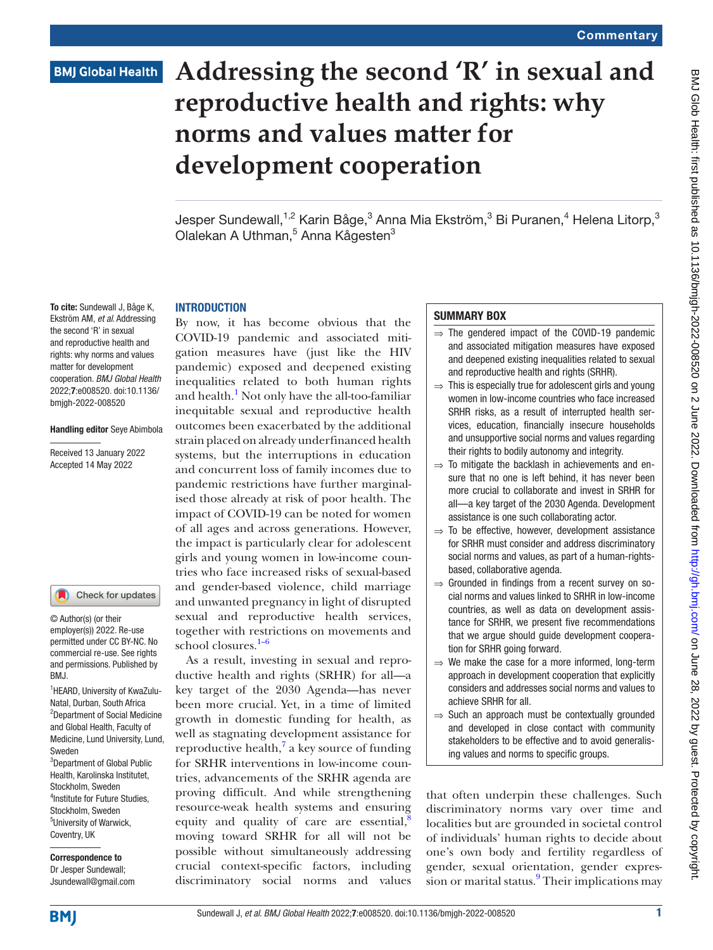# **BMJ Global Health**

# **Addressing the second 'R' in sexual and reproductive health and rights: why norms and values matter for development cooperation**

Jesper Sundewall, $^{\rm 1,2}$  Karin Båge, $^{\rm 3}$  Anna Mia Ekström, $^{\rm 3}$  Bi Puranen, $^{\rm 4}$  Helena Litorp, $^{\rm 3}$ Olalekan A Uthman,<sup>5</sup> Anna Kågesten<sup>3</sup>

### **INTRODUCTION**

To cite: Sundewall J, Båge K, Ekström AM, *et al*. Addressing the second 'R' in sexual and reproductive health and rights: why norms and values matter for development cooperation. *BMJ Global Health* 2022;7:e008520. doi:10.1136/ bmjgh-2022-008520

### Handling editor Seye Abimbola

Received 13 January 2022 Accepted 14 May 2022

### Check for updates

© Author(s) (or their employer(s)) 2022. Re-use permitted under CC BY-NC. No commercial re-use. See rights and permissions. Published by RM<sub>J</sub>

<sup>1</sup>HEARD, University of KwaZulu-Natal, Durban, South Africa 2 Department of Social Medicine and Global Health, Faculty of Medicine, Lund University, Lund, Sweden <sup>3</sup>Department of Global Public Health, Karolinska Institutet, Stockholm, Sweden 4 Institute for Future Studies, Stockholm, Sweden 5 University of Warwick, Coventry, UK

Correspondence to Dr Jesper Sundewall; Jsundewall@gmail.com

By now, it has become obvious that the COVID-19 pandemic and associated mitigation measures have (just like the HIV pandemic) exposed and deepened existing inequalities related to both human rights and health. $^1$  $^1$  Not only have the all-too-familiar inequitable sexual and reproductive health outcomes been exacerbated by the additional strain placed on already underfinanced health systems, but the interruptions in education and concurrent loss of family incomes due to pandemic restrictions have further marginalised those already at risk of poor health. The impact of COVID-19 can be noted for women of all ages and across generations. However, the impact is particularly clear for adolescent girls and young women in low-income countries who face increased risks of sexual-based and gender-based violence, child marriage and unwanted pregnancy in light of disrupted sexual and reproductive health services, together with restrictions on movements and school closures.<sup>[1–6](#page-3-0)</sup>

As a result, investing in sexual and reproductive health and rights (SRHR) for all—a key target of the 2030 Agenda—has never been more crucial. Yet, in a time of limited growth in domestic funding for health, as well as stagnating development assistance for reproductive health, $\frac{7}{3}$  $\frac{7}{3}$  $\frac{7}{3}$  a key source of funding for SRHR interventions in low-income countries, advancements of the SRHR agenda are proving difficult. And while strengthening resource-weak health systems and ensuring equity and quality of care are essential, $\frac{8}{3}$  $\frac{8}{3}$  $\frac{8}{3}$ moving toward SRHR for all will not be possible without simultaneously addressing crucial context-specific factors, including discriminatory social norms and values

## SUMMARY BOX

- $\Rightarrow$  The gendered impact of the COVID-19 pandemic and associated mitigation measures have exposed and deepened existing inequalities related to sexual and reproductive health and rights (SRHR).
- $\Rightarrow$  This is especially true for adolescent girls and young women in low-income countries who face increased SRHR risks, as a result of interrupted health services, education, financially insecure households and unsupportive social norms and values regarding their rights to bodily autonomy and integrity.
- $\Rightarrow$  To mitigate the backlash in achievements and ensure that no one is left behind, it has never been more crucial to collaborate and invest in SRHR for all—a key target of the 2030 Agenda. Development assistance is one such collaborating actor.
- $\Rightarrow$  To be effective, however, development assistance for SRHR must consider and address discriminatory social norms and values, as part of a human-rightsbased, collaborative agenda.
- $\Rightarrow$  Grounded in findings from a recent survey on social norms and values linked to SRHR in low-income countries, as well as data on development assistance for SRHR, we present five recommendations that we argue should guide development cooperation for SRHR going forward.
- $\Rightarrow$  We make the case for a more informed, long-term approach in development cooperation that explicitly considers and addresses social norms and values to achieve SRHR for all.
- ⇒ Such an approach must be contextually grounded and developed in close contact with community stakeholders to be effective and to avoid generalising values and norms to specific groups.

that often underpin these challenges. Such discriminatory norms vary over time and localities but are grounded in societal control of individuals' human rights to decide about one's own body and fertility regardless of gender, sexual orientation, gender expres-sion or marital status.<sup>[9](#page-3-3)</sup> Their implications may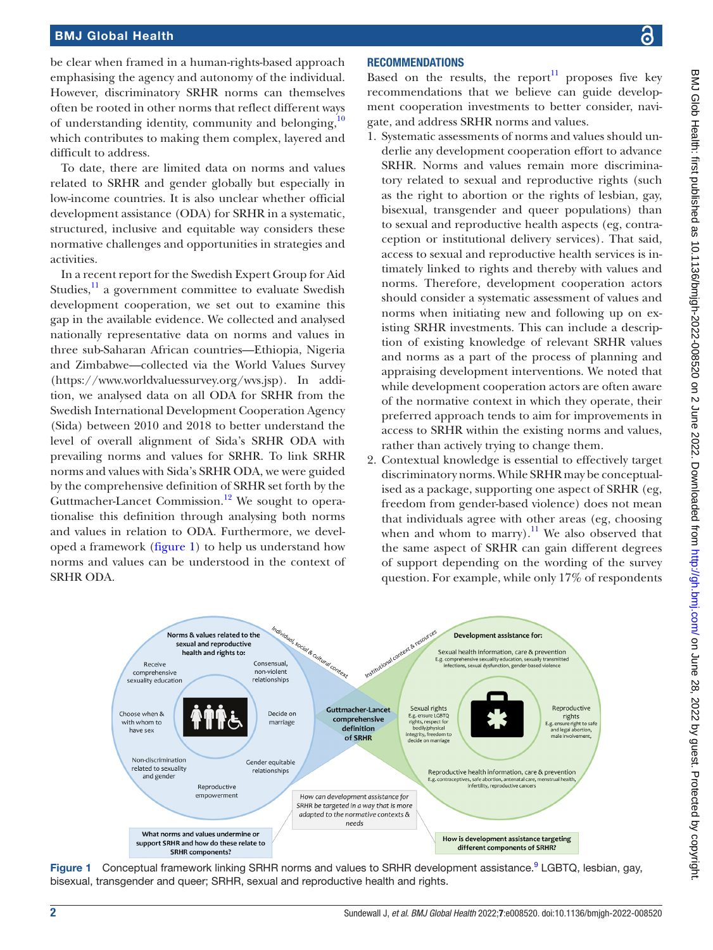### BMJ Global Health

be clear when framed in a human-rights-based approach emphasising the agency and autonomy of the individual. However, discriminatory SRHR norms can themselves often be rooted in other norms that reflect different ways of understanding identity, community and belonging,<sup>10</sup> which contributes to making them complex, layered and difficult to address.

To date, there are limited data on norms and values related to SRHR and gender globally but especially in low-income countries. It is also unclear whether official development assistance (ODA) for SRHR in a systematic, structured, inclusive and equitable way considers these normative challenges and opportunities in strategies and activities.

In a recent report for the Swedish Expert Group for Aid Studies, $\frac{11}{11}$  a government committee to evaluate Swedish development cooperation, we set out to examine this gap in the available evidence. We collected and analysed nationally representative data on norms and values in three sub-Saharan African countries—Ethiopia, Nigeria and Zimbabwe—collected via the World Values Survey [\(https://www.worldvaluessurvey.org/wvs.jsp\)](https://www.worldvaluessurvey.org/wvs.jsp). In addition, we analysed data on all ODA for SRHR from the Swedish International Development Cooperation Agency (Sida) between 2010 and 2018 to better understand the level of overall alignment of Sida's SRHR ODA with prevailing norms and values for SRHR. To link SRHR norms and values with Sida's SRHR ODA, we were guided by the comprehensive definition of SRHR set forth by the Guttmacher-Lancet Commission.<sup>12</sup> We sought to operationalise this definition through analysing both norms and values in relation to ODA. Furthermore, we developed a framework [\(figure](#page-1-0) 1) to help us understand how norms and values can be understood in the context of SRHR ODA.

# **RECOMMENDATIONS**

Based on the results, the report $11$  proposes five key recommendations that we believe can guide development cooperation investments to better consider, navigate, and address SRHR norms and values.

- 1. Systematic assessments of norms and values should underlie any development cooperation effort to advance SRHR. Norms and values remain more discriminatory related to sexual and reproductive rights (such as the right to abortion or the rights of lesbian, gay, bisexual, transgender and queer populations) than to sexual and reproductive health aspects (eg, contraception or institutional delivery services). That said, access to sexual and reproductive health services is intimately linked to rights and thereby with values and norms. Therefore, development cooperation actors should consider a systematic assessment of values and norms when initiating new and following up on existing SRHR investments. This can include a description of existing knowledge of relevant SRHR values and norms as a part of the process of planning and appraising development interventions. We noted that while development cooperation actors are often aware of the normative context in which they operate, their preferred approach tends to aim for improvements in access to SRHR within the existing norms and values, rather than actively trying to change them.
- 2. Contextual knowledge is essential to effectively target discriminatory norms. While SRHR may be conceptualised as a package, supporting one aspect of SRHR (eg, freedom from gender-based violence) does not mean that individuals agree with other areas (eg, choosing when and whom to marry). $^{11}$  $^{11}$  $^{11}$  We also observed that the same aspect of SRHR can gain different degrees of support depending on the wording of the survey question. For example, while only 17% of respondents



<span id="page-1-0"></span>Figure 1 Conceptual framework linking SRHR norms and values to SRHR development assistance.<sup>9</sup> LGBTQ, lesbian, gay, bisexual, transgender and queer; SRHR, sexual and reproductive health and rights.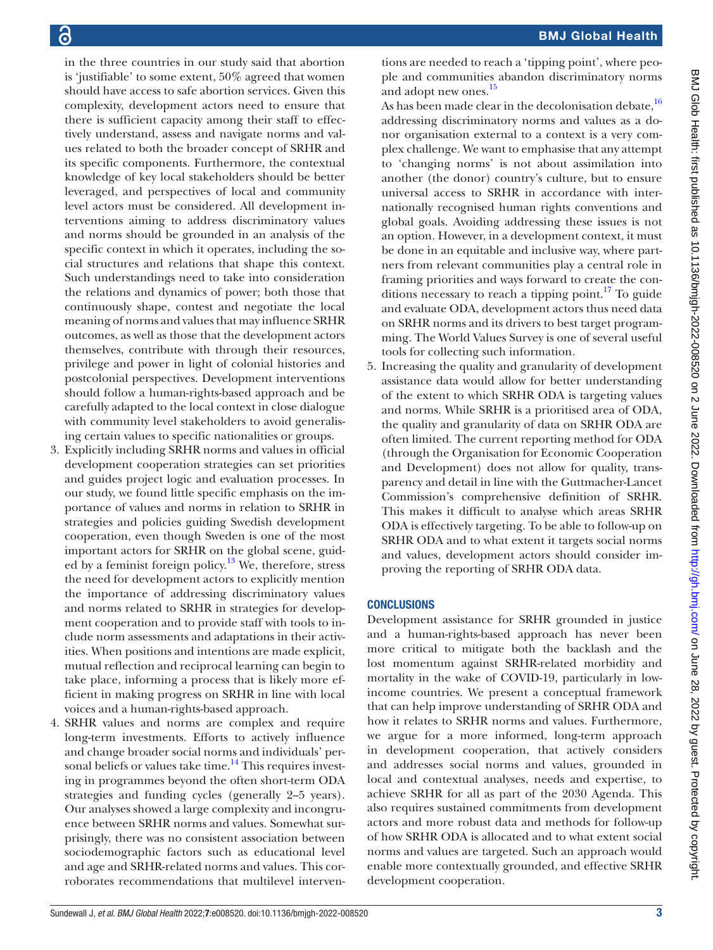tions are needed to reach a 'tipping point', where people and communities abandon discriminatory norms and adopt new ones.<sup>[15](#page-3-9)</sup> As has been made clear in the decolonisation debate, $16$ addressing discriminatory norms and values as a donor organisation external to a context is a very complex challenge. We want to emphasise that any attempt to 'changing norms' is not about assimilation into another (the donor) country's culture, but to ensure universal access to SRHR in accordance with internationally recognised human rights conventions and global goals. Avoiding addressing these issues is not an option. However, in a development context, it must be done in an equitable and inclusive way, where partners from relevant communities play a central role in framing priorities and ways forward to create the conditions necessary to reach a tipping point.<sup>17</sup> To guide and evaluate ODA, development actors thus need data on SRHR norms and its drivers to best target programming. The World Values Survey is one of several useful tools for collecting such information. 5. Increasing the quality and granularity of development

assistance data would allow for better understanding of the extent to which SRHR ODA is targeting values and norms. While SRHR is a prioritised area of ODA, the quality and granularity of data on SRHR ODA are often limited. The current reporting method for ODA (through the Organisation for Economic Cooperation and Development) does not allow for quality, transparency and detail in line with the Guttmacher-Lancet Commission's comprehensive definition of SRHR. This makes it difficult to analyse which areas SRHR ODA is effectively targeting. To be able to follow-up on SRHR ODA and to what extent it targets social norms and values, development actors should consider improving the reporting of SRHR ODA data.

# **CONCLUSIONS**

Development assistance for SRHR grounded in justice and a human-rights-based approach has never been more critical to mitigate both the backlash and the lost momentum against SRHR-related morbidity and mortality in the wake of COVID-19, particularly in lowincome countries. We present a conceptual framework that can help improve understanding of SRHR ODA and how it relates to SRHR norms and values. Furthermore, we argue for a more informed, long-term approach in development cooperation, that actively considers and addresses social norms and values, grounded in local and contextual analyses, needs and expertise, to achieve SRHR for all as part of the 2030 Agenda. This also requires sustained commitments from development actors and more robust data and methods for follow-up of how SRHR ODA is allocated and to what extent social norms and values are targeted. Such an approach would enable more contextually grounded, and effective SRHR development cooperation.

in the three countries in our study said that abortion is 'justifiable' to some extent, 50% agreed that women should have access to safe abortion services. Given this complexity, development actors need to ensure that there is sufficient capacity among their staff to effectively understand, assess and navigate norms and values related to both the broader concept of SRHR and its specific components. Furthermore, the contextual knowledge of key local stakeholders should be better leveraged, and perspectives of local and community level actors must be considered. All development interventions aiming to address discriminatory values and norms should be grounded in an analysis of the specific context in which it operates, including the social structures and relations that shape this context. Such understandings need to take into consideration the relations and dynamics of power; both those that continuously shape, contest and negotiate the local meaning of norms and values that may influence SRHR outcomes, as well as those that the development actors themselves, contribute with through their resources, privilege and power in light of colonial histories and postcolonial perspectives. Development interventions should follow a human-rights-based approach and be carefully adapted to the local context in close dialogue with community level stakeholders to avoid generalising certain values to specific nationalities or groups.

- 3. Explicitly including SRHR norms and values in official development cooperation strategies can set priorities and guides project logic and evaluation processes. In our study, we found little specific emphasis on the importance of values and norms in relation to SRHR in strategies and policies guiding Swedish development cooperation, even though Sweden is one of the most important actors for SRHR on the global scene, guided by a feminist foreign policy.[13](#page-3-7) We, therefore, stress the need for development actors to explicitly mention the importance of addressing discriminatory values and norms related to SRHR in strategies for development cooperation and to provide staff with tools to include norm assessments and adaptations in their activities. When positions and intentions are made explicit, mutual reflection and reciprocal learning can begin to take place, informing a process that is likely more efficient in making progress on SRHR in line with local voices and a human-rights-based approach.
- 4. SRHR values and norms are complex and require long-term investments. Efforts to actively influence and change broader social norms and individuals' per-sonal beliefs or values take time.<sup>[14](#page-3-8)</sup> This requires investing in programmes beyond the often short-term ODA strategies and funding cycles (generally 2–5 years). Our analyses showed a large complexity and incongruence between SRHR norms and values. Somewhat surprisingly, there was no consistent association between sociodemographic factors such as educational level and age and SRHR-related norms and values. This corroborates recommendations that multilevel interven-